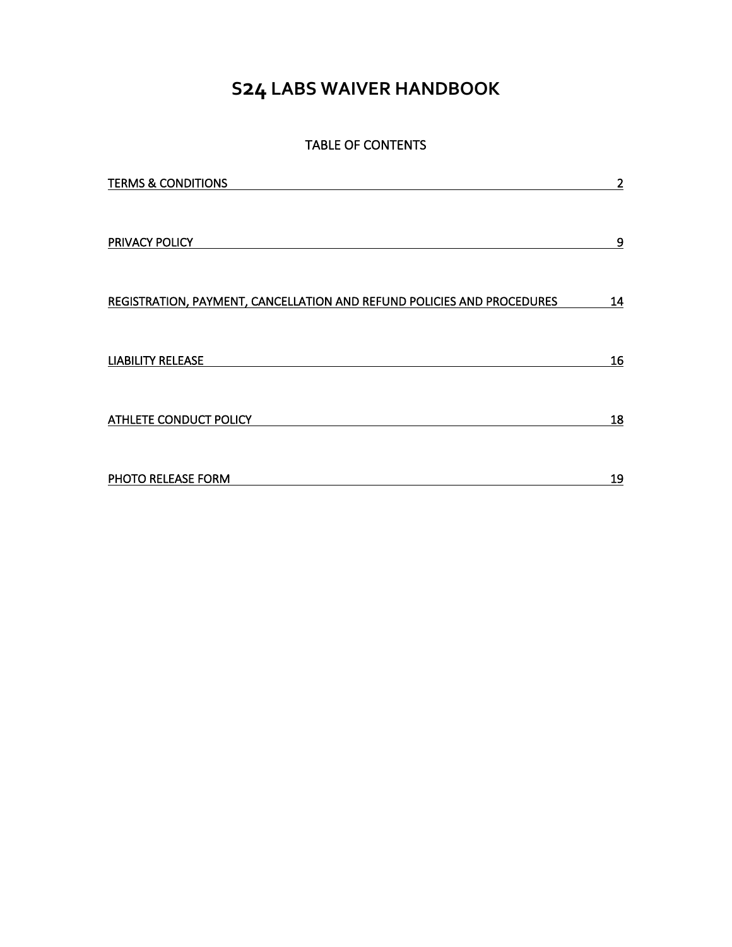# **S24 LABS WAIVER HANDBOOK**

# TABLE OF CONTENTS

| <b>TERMS &amp; CONDITIONS</b>                                          | $\overline{2}$ |
|------------------------------------------------------------------------|----------------|
|                                                                        |                |
|                                                                        |                |
| PRIVACY POLICY                                                         | 9              |
|                                                                        |                |
|                                                                        |                |
| REGISTRATION, PAYMENT, CANCELLATION AND REFUND POLICIES AND PROCEDURES | <u>14</u>      |
|                                                                        |                |
| <b>LIABILITY RELEASE</b>                                               | 16             |
|                                                                        |                |
|                                                                        |                |
| <b>ATHLETE CONDUCT POLICY</b>                                          | 18             |
|                                                                        |                |
|                                                                        |                |
| PHOTO RELEASE FORM                                                     | 19             |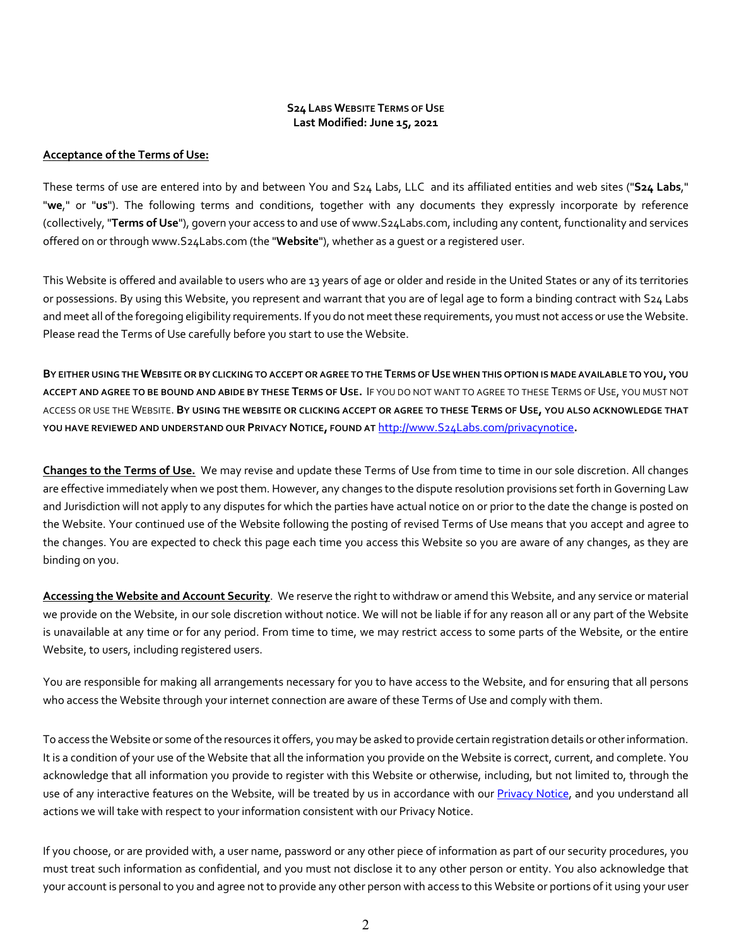#### **S24 LABS WEBSITE TERMS OF USE Last Modified: June 15, 2021**

#### **Acceptance of the Terms of Use:**

These terms of use are entered into by and between You and S24 Labs, LLC and its affiliated entities and web sites ("**S24 Labs**," "**we**," or "**us**"). The following terms and conditions, together with any documents they expressly incorporate by reference (collectively, "**Terms of Use**"), govern your access to and use of www.S24Labs.com, including any content, functionality and services offered on or through www.S24Labs.com (the "**Website**"), whether as a guest or a registered user.

This Website is offered and available to users who are 13 years of age or older and reside in the United States or any of its territories or possessions. By using this Website, you represent and warrant that you are of legal age to form a binding contract with S24 Labs and meet all of the foregoing eligibility requirements. If you do not meet these requirements, you must not access or use the Website. Please read the Terms of Use carefully before you start to use the Website.

**BY EITHER USING THE WEBSITE OR BY CLICKING TO ACCEPT OR AGREE TO THE TERMS OF USE WHEN THIS OPTION IS MADE AVAILABLE TO YOU, YOU ACCEPT AND AGREE TO BE BOUND AND ABIDE BY THESE TERMS OF USE.** IF YOU DO NOT WANT TO AGREE TO THESE TERMS OF USE, YOU MUST NOT ACCESS OR USE THE WEBSITE. **BY USING THE WEBSITE OR CLICKING ACCEPT OR AGREE TO THESE TERMS OF USE, YOU ALSO ACKNOWLEDGE THAT YOU HAVE REVIEWED AND UNDERSTAND OUR PRIVACY NOTICE, FOUND AT** http://www.S24Labs.com/privacynotice**.**

**Changes to the Terms of Use.** We may revise and update these Terms of Use from time to time in our sole discretion. All changes are effective immediately when we post them. However, any changes to the dispute resolution provisions set forth in Governing Law and Jurisdiction will not apply to any disputes for which the parties have actual notice on or prior to the date the change is posted on the Website. Your continued use of the Website following the posting of revised Terms of Use means that you accept and agree to the changes. You are expected to check this page each time you access this Website so you are aware of any changes, as they are binding on you.

**Accessing the Website and Account Security**. We reserve the right to withdraw or amend this Website, and any service or material we provide on the Website, in our sole discretion without notice. We will not be liable if for any reason all or any part of the Website is unavailable at any time or for any period. From time to time, we may restrict access to some parts of the Website, or the entire Website, to users, including registered users.

You are responsible for making all arrangements necessary for you to have access to the Website, and for ensuring that all persons who access the Website through your internet connection are aware of these Terms of Use and comply with them.

To access the Website or some of the resources it offers, you may be asked to provide certain registration details or other information. It is a condition of your use of the Website that all the information you provide on the Website is correct, current, and complete. You acknowledge that all information you provide to register with this Website or otherwise, including, but not limited to, through the use of any interactive features on the Website, will be treated by us in accordance with our Privacy Notice, and you understand all actions we will take with respect to your information consistent with our Privacy Notice.

If you choose, or are provided with, a user name, password or any other piece of information as part of our security procedures, you must treat such information as confidential, and you must not disclose it to any other person or entity. You also acknowledge that your account is personal to you and agree not to provide any other person with access to this Website or portions of it using your user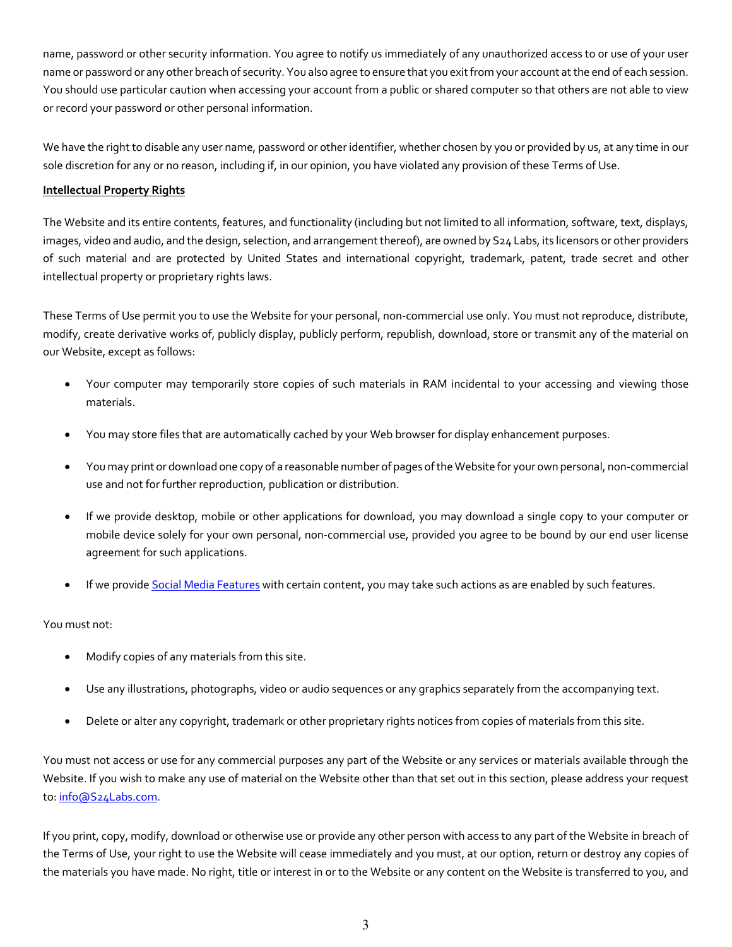name, password or other security information. You agree to notify us immediately of any unauthorized access to or use of your user name or password or any other breach of security. You also agree to ensure that you exit from your account at the end of each session. You should use particular caution when accessing your account from a public or shared computer so that others are not able to view or record your password or other personal information.

We have the right to disable any user name, password or other identifier, whether chosen by you or provided by us, at any time in our sole discretion for any or no reason, including if, in our opinion, you have violated any provision of these Terms of Use.

# **Intellectual Property Rights**

The Website and its entire contents, features, and functionality (including but not limited to all information, software, text, displays, images, video and audio, and the design, selection, and arrangement thereof), are owned by S24 Labs, its licensors or other providers of such material and are protected by United States and international copyright, trademark, patent, trade secret and other intellectual property or proprietary rights laws.

These Terms of Use permit you to use the Website for your personal, non-commercial use only. You must not reproduce, distribute, modify, create derivative works of, publicly display, publicly perform, republish, download, store or transmit any of the material on our Website, except as follows:

- Your computer may temporarily store copies of such materials in RAM incidental to your accessing and viewing those materials.
- You may store files that are automatically cached by your Web browser for display enhancement purposes.
- You may print or download one copy of a reasonable number of pages of the Website for your own personal, non-commercial use and not for further reproduction, publication or distribution.
- If we provide desktop, mobile or other applications for download, you may download a single copy to your computer or mobile device solely for your own personal, non-commercial use, provided you agree to be bound by our end user license agreement for such applications.
- If we provide Social Media Features with certain content, you may take such actions as are enabled by such features.

# You must not:

- Modify copies of any materials from this site.
- Use any illustrations, photographs, video or audio sequences or any graphics separately from the accompanying text.
- Delete or alter any copyright, trademark or other proprietary rights notices from copies of materials from this site.

You must not access or use for any commercial purposes any part of the Website or any services or materials available through the Website. If you wish to make any use of material on the Website other than that set out in this section, please address your request to: info@S24Labs.com.

If you print, copy, modify, download or otherwise use or provide any other person with access to any part of the Website in breach of the Terms of Use, your right to use the Website will cease immediately and you must, at our option, return or destroy any copies of the materials you have made. No right, title or interest in or to the Website or any content on the Website is transferred to you, and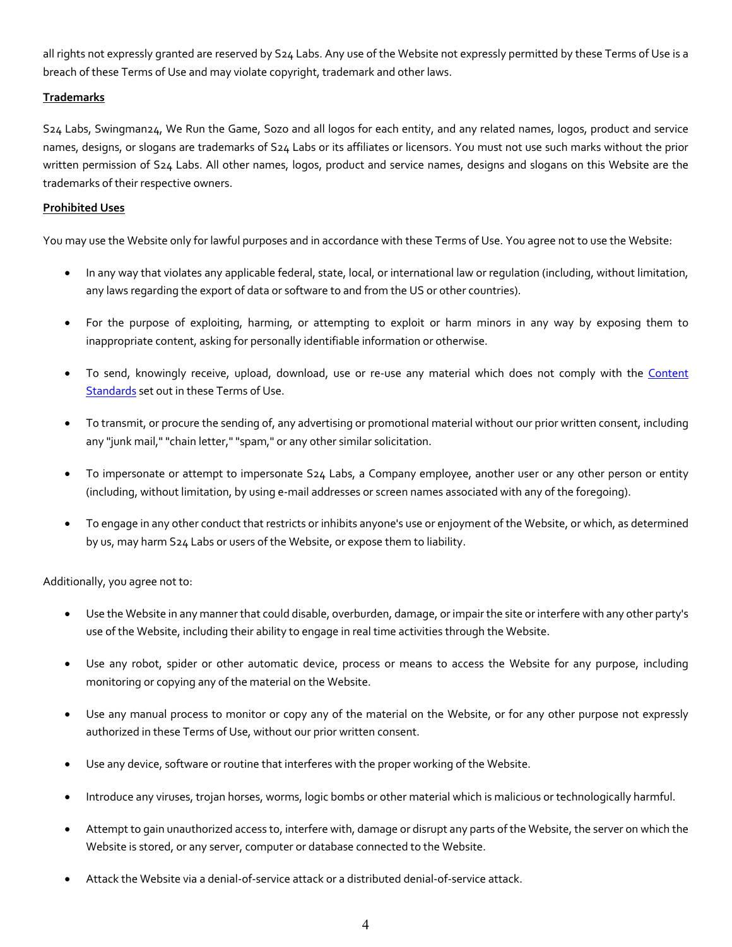all rights not expressly granted are reserved by S24 Labs. Any use of the Website not expressly permitted by these Terms of Use is a breach of these Terms of Use and may violate copyright, trademark and other laws.

# **Trademarks**

S24 Labs, Swingman24, We Run the Game, Sozo and all logos for each entity, and any related names, logos, product and service names, designs, or slogans are trademarks of S24 Labs or its affiliates or licensors. You must not use such marks without the prior written permission of S24 Labs. All other names, logos, product and service names, designs and slogans on this Website are the trademarks of their respective owners.

#### **Prohibited Uses**

You may use the Website only for lawful purposes and in accordance with these Terms of Use. You agree not to use the Website:

- In any way that violates any applicable federal, state, local, or international law or regulation (including, without limitation, any laws regarding the export of data or software to and from the US or other countries).
- For the purpose of exploiting, harming, or attempting to exploit or harm minors in any way by exposing them to inappropriate content, asking for personally identifiable information or otherwise.
- To send, knowingly receive, upload, download, use or re-use any material which does not comply with the Content Standards set out in these Terms of Use.
- To transmit, or procure the sending of, any advertising or promotional material without our prior written consent, including any "junk mail," "chain letter," "spam," or any other similar solicitation.
- To impersonate or attempt to impersonate S24 Labs, a Company employee, another user or any other person or entity (including, without limitation, by using e-mail addresses or screen names associated with any of the foregoing).
- To engage in any other conduct that restricts or inhibits anyone's use or enjoyment of the Website, or which, as determined by us, may harm S24 Labs or users of the Website, or expose them to liability.

Additionally, you agree not to:

- Use the Website in any manner that could disable, overburden, damage, or impair the site or interfere with any other party's use of the Website, including their ability to engage in real time activities through the Website.
- Use any robot, spider or other automatic device, process or means to access the Website for any purpose, including monitoring or copying any of the material on the Website.
- Use any manual process to monitor or copy any of the material on the Website, or for any other purpose not expressly authorized in these Terms of Use, without our prior written consent.
- Use any device, software or routine that interferes with the proper working of the Website.
- Introduce any viruses, trojan horses, worms, logic bombs or other material which is malicious or technologically harmful.
- Attempt to gain unauthorized access to, interfere with, damage or disrupt any parts of the Website, the server on which the Website is stored, or any server, computer or database connected to the Website.
- Attack the Website via a denial-of-service attack or a distributed denial-of-service attack.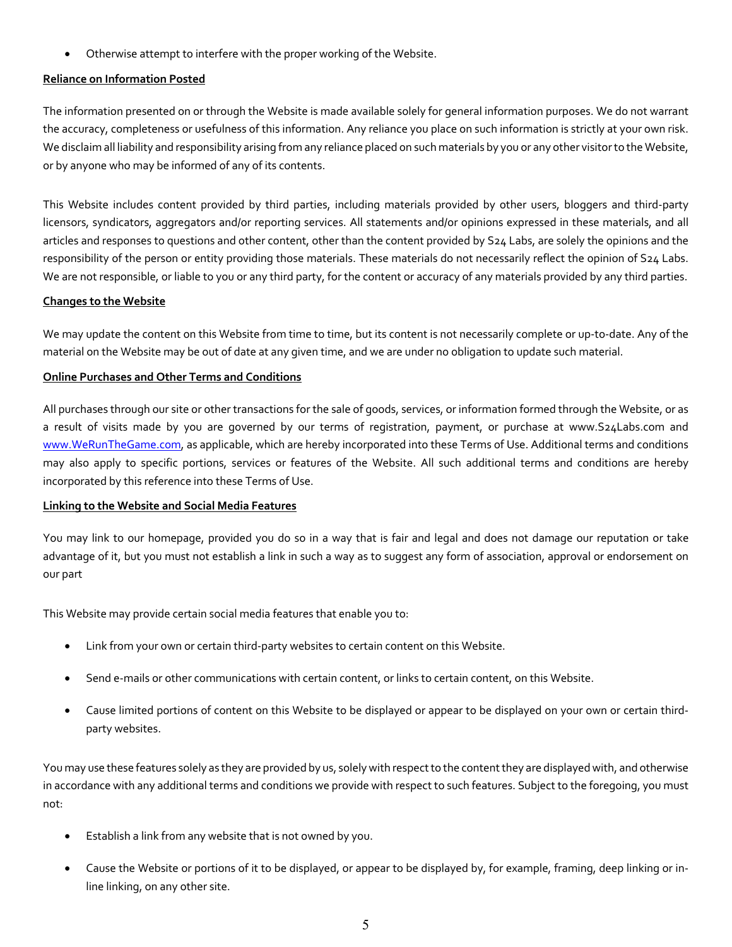• Otherwise attempt to interfere with the proper working of the Website.

#### **Reliance on Information Posted**

The information presented on or through the Website is made available solely for general information purposes. We do not warrant the accuracy, completeness or usefulness of this information. Any reliance you place on such information is strictly at your own risk. We disclaim all liability and responsibility arising from any reliance placed on such materials by you or any other visitor to the Website, or by anyone who may be informed of any of its contents.

This Website includes content provided by third parties, including materials provided by other users, bloggers and third-party licensors, syndicators, aggregators and/or reporting services. All statements and/or opinions expressed in these materials, and all articles and responses to questions and other content, other than the content provided by S24 Labs, are solely the opinions and the responsibility of the person or entity providing those materials. These materials do not necessarily reflect the opinion of S24 Labs. We are not responsible, or liable to you or any third party, for the content or accuracy of any materials provided by any third parties.

#### **Changes to the Website**

We may update the content on this Website from time to time, but its content is not necessarily complete or up-to-date. Any of the material on the Website may be out of date at any given time, and we are under no obligation to update such material.

#### **Online Purchases and Other Terms and Conditions**

All purchases through our site or other transactions for the sale of goods, services, or information formed through the Website, or as a result of visits made by you are governed by our terms of registration, payment, or purchase at www.S24Labs.com and www.WeRunTheGame.com, as applicable, which are hereby incorporated into these Terms of Use. Additional terms and conditions may also apply to specific portions, services or features of the Website. All such additional terms and conditions are hereby incorporated by this reference into these Terms of Use.

#### **Linking to the Website and Social Media Features**

You may link to our homepage, provided you do so in a way that is fair and legal and does not damage our reputation or take advantage of it, but you must not establish a link in such a way as to suggest any form of association, approval or endorsement on our part

This Website may provide certain social media features that enable you to:

- Link from your own or certain third-party websites to certain content on this Website.
- Send e-mails or other communications with certain content, or links to certain content, on this Website.
- Cause limited portions of content on this Website to be displayed or appear to be displayed on your own or certain thirdparty websites.

You may use these features solely as they are provided by us, solely with respect to the content they are displayed with, and otherwise in accordance with any additional terms and conditions we provide with respect to such features. Subject to the foregoing, you must not:

- Establish a link from any website that is not owned by you.
- Cause the Website or portions of it to be displayed, or appear to be displayed by, for example, framing, deep linking or inline linking, on any other site.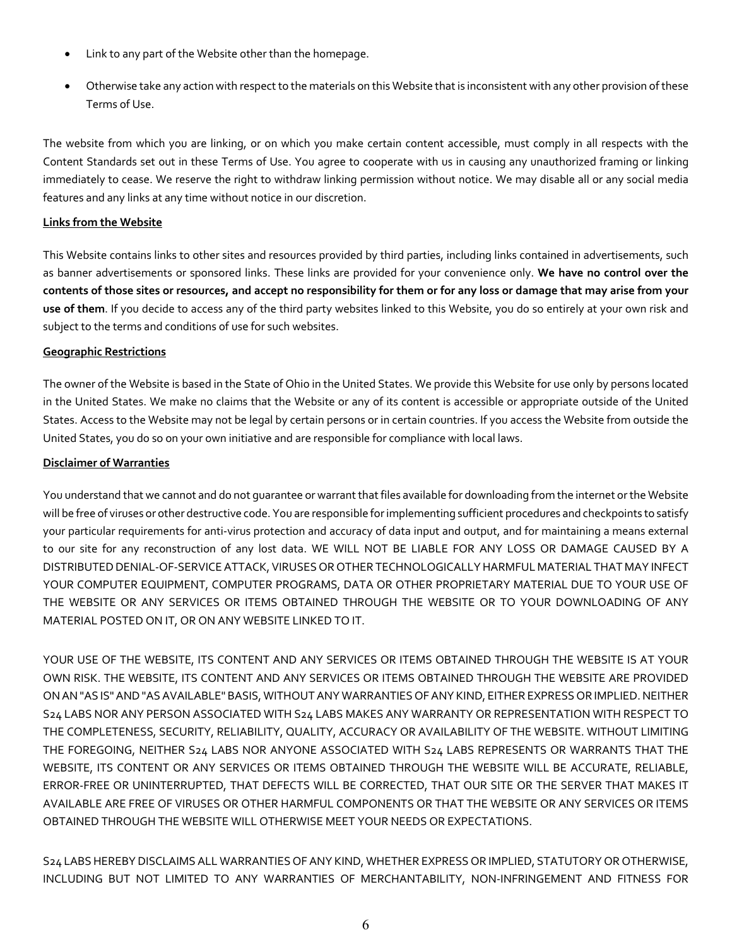- Link to any part of the Website other than the homepage.
- Otherwise take any action with respect to the materials on this Website that is inconsistent with any other provision of these Terms of Use.

The website from which you are linking, or on which you make certain content accessible, must comply in all respects with the Content Standards set out in these Terms of Use. You agree to cooperate with us in causing any unauthorized framing or linking immediately to cease. We reserve the right to withdraw linking permission without notice. We may disable all or any social media features and any links at any time without notice in our discretion.

#### **Links from the Website**

This Website contains links to other sites and resources provided by third parties, including links contained in advertisements, such as banner advertisements or sponsored links. These links are provided for your convenience only. **We have no control over the contents of those sites or resources, and accept no responsibility for them or for any loss or damage that may arise from your use of them**. If you decide to access any of the third party websites linked to this Website, you do so entirely at your own risk and subject to the terms and conditions of use for such websites.

#### **Geographic Restrictions**

The owner of the Website is based in the State of Ohio in the United States. We provide this Website for use only by persons located in the United States. We make no claims that the Website or any of its content is accessible or appropriate outside of the United States. Access to the Website may not be legal by certain persons or in certain countries. If you access the Website from outside the United States, you do so on your own initiative and are responsible for compliance with local laws.

#### **Disclaimer of Warranties**

You understand that we cannot and do not guarantee or warrant that files available for downloading from the internet or the Website will be free of viruses or other destructive code. You are responsible for implementing sufficient procedures and checkpoints to satisfy your particular requirements for anti-virus protection and accuracy of data input and output, and for maintaining a means external to our site for any reconstruction of any lost data. WE WILL NOT BE LIABLE FOR ANY LOSS OR DAMAGE CAUSED BY A DISTRIBUTED DENIAL-OF-SERVICE ATTACK, VIRUSES OR OTHER TECHNOLOGICALLY HARMFUL MATERIAL THAT MAY INFECT YOUR COMPUTER EQUIPMENT, COMPUTER PROGRAMS, DATA OR OTHER PROPRIETARY MATERIAL DUE TO YOUR USE OF THE WEBSITE OR ANY SERVICES OR ITEMS OBTAINED THROUGH THE WEBSITE OR TO YOUR DOWNLOADING OF ANY MATERIAL POSTED ON IT, OR ON ANY WEBSITE LINKED TO IT.

YOUR USE OF THE WEBSITE, ITS CONTENT AND ANY SERVICES OR ITEMS OBTAINED THROUGH THE WEBSITE IS AT YOUR OWN RISK. THE WEBSITE, ITS CONTENT AND ANY SERVICES OR ITEMS OBTAINED THROUGH THE WEBSITE ARE PROVIDED ON AN "AS IS" AND "AS AVAILABLE" BASIS, WITHOUT ANY WARRANTIES OF ANY KIND, EITHER EXPRESS OR IMPLIED.NEITHER S24 LABS NOR ANY PERSON ASSOCIATED WITH S24 LABS MAKES ANY WARRANTY OR REPRESENTATION WITH RESPECT TO THE COMPLETENESS, SECURITY, RELIABILITY, QUALITY, ACCURACY OR AVAILABILITY OF THE WEBSITE. WITHOUT LIMITING THE FOREGOING, NEITHER S24 LABS NOR ANYONE ASSOCIATED WITH S24 LABS REPRESENTS OR WARRANTS THAT THE WEBSITE, ITS CONTENT OR ANY SERVICES OR ITEMS OBTAINED THROUGH THE WEBSITE WILL BE ACCURATE, RELIABLE, ERROR-FREE OR UNINTERRUPTED, THAT DEFECTS WILL BE CORRECTED, THAT OUR SITE OR THE SERVER THAT MAKES IT AVAILABLE ARE FREE OF VIRUSES OR OTHER HARMFUL COMPONENTS OR THAT THE WEBSITE OR ANY SERVICES OR ITEMS OBTAINED THROUGH THE WEBSITE WILL OTHERWISE MEET YOUR NEEDS OR EXPECTATIONS.

S24 LABSHEREBY DISCLAIMS ALL WARRANTIES OF ANY KIND, WHETHER EXPRESS OR IMPLIED, STATUTORY OR OTHERWISE, INCLUDING BUT NOT LIMITED TO ANY WARRANTIES OF MERCHANTABILITY, NON-INFRINGEMENT AND FITNESS FOR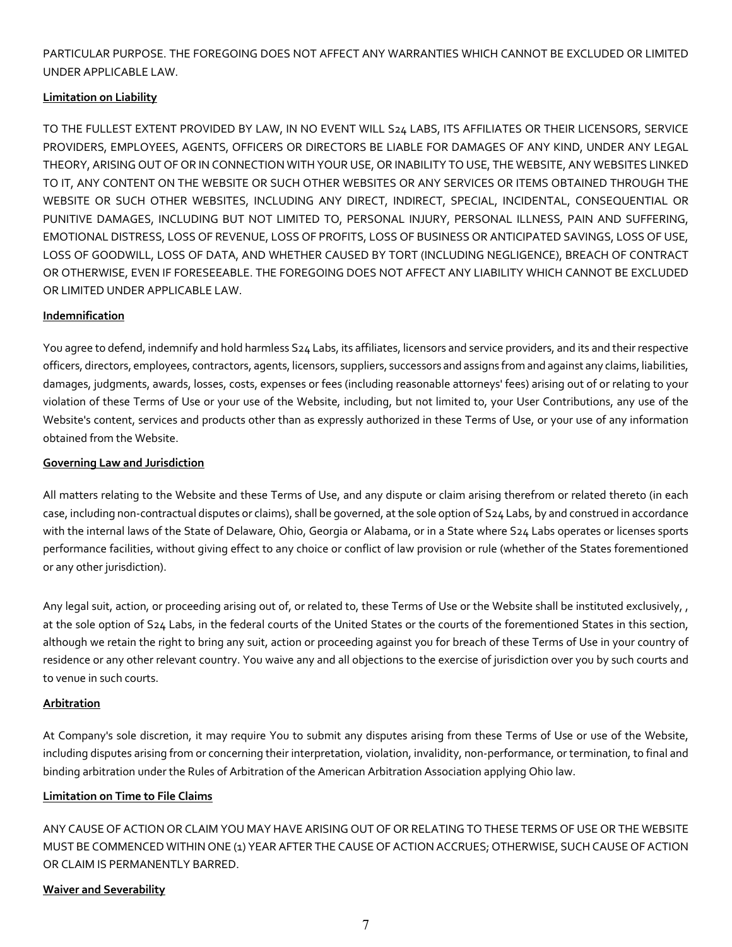PARTICULAR PURPOSE. THE FOREGOING DOES NOT AFFECT ANY WARRANTIES WHICH CANNOT BE EXCLUDED OR LIMITED UNDER APPLICABLE LAW.

# **Limitation on Liability**

TO THE FULLEST EXTENT PROVIDED BY LAW, IN NO EVENT WILL S24 LABS, ITS AFFILIATES OR THEIR LICENSORS, SERVICE PROVIDERS, EMPLOYEES, AGENTS, OFFICERS OR DIRECTORS BE LIABLE FOR DAMAGES OF ANY KIND, UNDER ANY LEGAL THEORY, ARISING OUT OF OR IN CONNECTION WITH YOUR USE, OR INABILITY TO USE, THE WEBSITE, ANY WEBSITES LINKED TO IT, ANY CONTENT ON THE WEBSITE OR SUCH OTHER WEBSITES OR ANY SERVICES OR ITEMS OBTAINED THROUGH THE WEBSITE OR SUCH OTHER WEBSITES, INCLUDING ANY DIRECT, INDIRECT, SPECIAL, INCIDENTAL, CONSEQUENTIAL OR PUNITIVE DAMAGES, INCLUDING BUT NOT LIMITED TO, PERSONAL INJURY, PERSONAL ILLNESS, PAIN AND SUFFERING, EMOTIONAL DISTRESS, LOSS OF REVENUE, LOSS OF PROFITS, LOSS OF BUSINESS OR ANTICIPATED SAVINGS, LOSS OF USE, LOSS OF GOODWILL, LOSS OF DATA, AND WHETHER CAUSED BY TORT (INCLUDING NEGLIGENCE), BREACH OF CONTRACT OR OTHERWISE, EVEN IF FORESEEABLE. THE FOREGOING DOES NOT AFFECT ANY LIABILITY WHICH CANNOT BE EXCLUDED OR LIMITED UNDER APPLICABLE LAW.

# **Indemnification**

You agree to defend, indemnify and hold harmless S24 Labs, its affiliates, licensors and service providers, and its and their respective officers, directors, employees, contractors, agents, licensors, suppliers, successors and assigns from and against any claims, liabilities, damages, judgments, awards, losses, costs, expenses or fees (including reasonable attorneys' fees) arising out of or relating to your violation of these Terms of Use or your use of the Website, including, but not limited to, your User Contributions, any use of the Website's content, services and products other than as expressly authorized in these Terms of Use, or your use of any information obtained from the Website.

# **Governing Law and Jurisdiction**

All matters relating to the Website and these Terms of Use, and any dispute or claim arising therefrom or related thereto (in each case, including non-contractual disputes or claims), shall be governed, at the sole option of S24 Labs, by and construed in accordance with the internal laws of the State of Delaware, Ohio, Georgia or Alabama, or in a State where S24 Labs operates or licenses sports performance facilities, without giving effect to any choice or conflict of law provision or rule (whether of the States forementioned or any other jurisdiction).

Any legal suit, action, or proceeding arising out of, or related to, these Terms of Use or the Website shall be instituted exclusively, , at the sole option of S24 Labs, in the federal courts of the United States or the courts of the forementioned States in this section, although we retain the right to bring any suit, action or proceeding against you for breach of these Terms of Use in your country of residence or any other relevant country. You waive any and all objections to the exercise of jurisdiction over you by such courts and to venue in such courts.

# **Arbitration**

At Company's sole discretion, it may require You to submit any disputes arising from these Terms of Use or use of the Website, including disputes arising from or concerning their interpretation, violation, invalidity, non-performance, or termination, to final and binding arbitration under the Rules of Arbitration of the American Arbitration Association applying Ohio law.

# **Limitation on Time to File Claims**

ANY CAUSE OF ACTION OR CLAIM YOU MAY HAVE ARISING OUT OF OR RELATING TO THESE TERMS OF USE OR THE WEBSITE MUST BE COMMENCED WITHIN ONE (1) YEAR AFTER THE CAUSE OF ACTION ACCRUES; OTHERWISE, SUCH CAUSE OF ACTION OR CLAIM IS PERMANENTLY BARRED.

# **Waiver and Severability**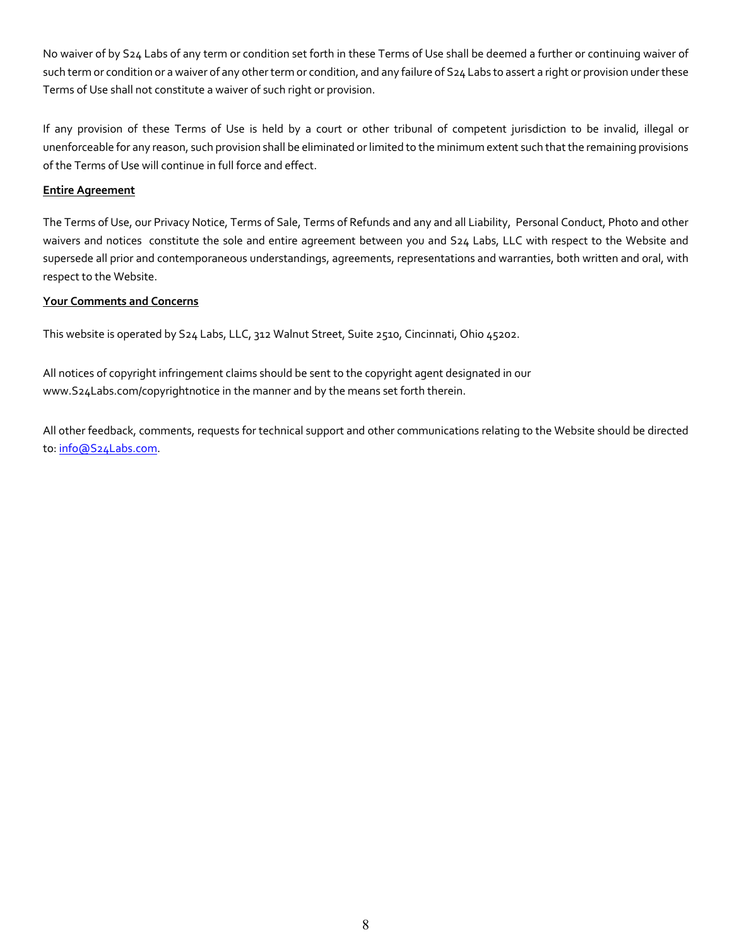No waiver of by S24 Labs of any term or condition set forth in these Terms of Use shall be deemed a further or continuing waiver of such term or condition or a waiver of any other term or condition, and any failure of S24 Labs to assert a right or provision under these Terms of Use shall not constitute a waiver of such right or provision.

If any provision of these Terms of Use is held by a court or other tribunal of competent jurisdiction to be invalid, illegal or unenforceable for any reason, such provision shall be eliminated or limited to the minimum extent such that the remaining provisions of the Terms of Use will continue in full force and effect.

# **Entire Agreement**

The Terms of Use, our Privacy Notice, Terms of Sale, Terms of Refunds and any and all Liability, Personal Conduct, Photo and other waivers and notices constitute the sole and entire agreement between you and S24 Labs, LLC with respect to the Website and supersede all prior and contemporaneous understandings, agreements, representations and warranties, both written and oral, with respect to the Website.

#### **Your Comments and Concerns**

This website is operated by S24 Labs, LLC, 312 Walnut Street, Suite 2510, Cincinnati, Ohio 45202.

All notices of copyright infringement claims should be sent to the copyright agent designated in our www.S24Labs.com/copyrightnotice in the manner and by the means set forth therein.

All other feedback, comments, requests for technical support and other communications relating to the Website should be directed to: info@S24Labs.com.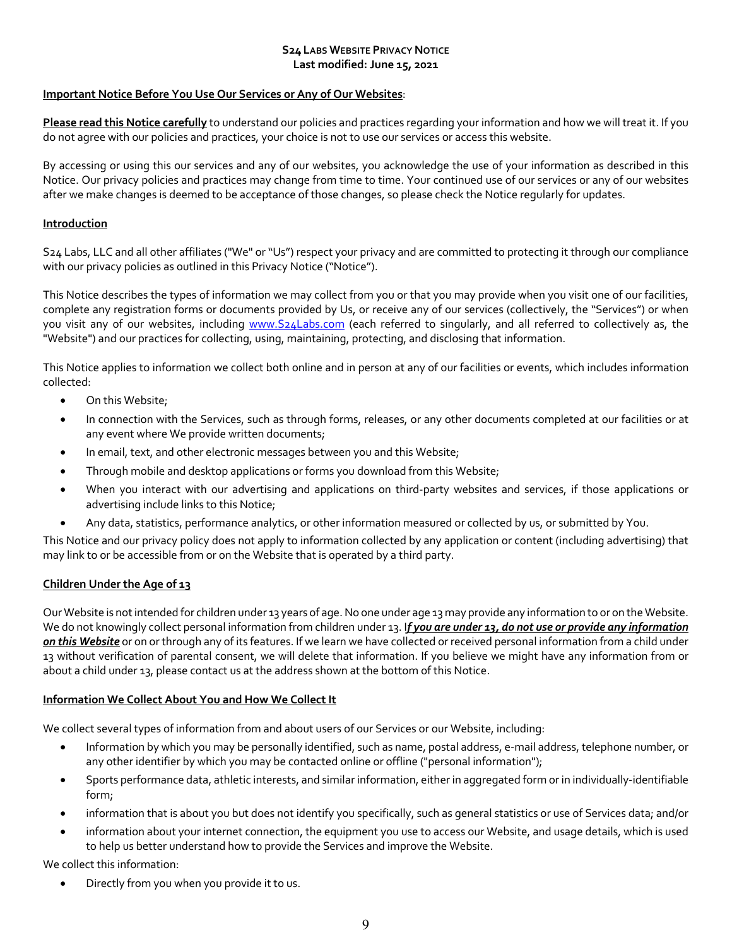#### **S24 LABS WEBSITE PRIVACY NOTICE Last modified: June 15, 2021**

# **Important Notice Before You Use Our Services or Any of Our Websites**:

**Please read this Notice carefully** to understand our policies and practices regarding your information and how we will treat it. If you do not agree with our policies and practices, your choice is not to use our services or access this website.

By accessing or using this our services and any of our websites, you acknowledge the use of your information as described in this Notice. Our privacy policies and practices may change from time to time. Your continued use of our services or any of our websites after we make changes is deemed to be acceptance of those changes, so please check the Notice regularly for updates.

#### **Introduction**

S24 Labs, LLC and all other affiliates ("We" or "Us") respect your privacy and are committed to protecting it through our compliance with our privacy policies as outlined in this Privacy Notice ("Notice").

This Notice describes the types of information we may collect from you or that you may provide when you visit one of our facilities, complete any registration forms or documents provided by Us, or receive any of our services (collectively, the "Services") or when you visit any of our websites, including www.S24Labs.com (each referred to singularly, and all referred to collectively as, the "Website") and our practices for collecting, using, maintaining, protecting, and disclosing that information.

This Notice applies to information we collect both online and in person at any of our facilities or events, which includes information collected:

- On this Website;
- In connection with the Services, such as through forms, releases, or any other documents completed at our facilities or at any event where We provide written documents;
- In email, text, and other electronic messages between you and this Website;
- Through mobile and desktop applications or forms you download from this Website;
- When you interact with our advertising and applications on third-party websites and services, if those applications or advertising include links to this Notice;
- Any data, statistics, performance analytics, or other information measured or collected by us, or submitted by You.

This Notice and our privacy policy does not apply to information collected by any application or content (including advertising) that may link to or be accessible from or on the Website that is operated by a third party.

# **Children Under the Age of 13**

Our Website is not intended for children under 13 years of age. No one under age 13 may provide any information to or on the Website. We do not knowingly collect personal information from children under 13. I*f you are under 13, do not use or provide any information on this Website* or on or through any of its features. If we learn we have collected or received personal information from a child under 13 without verification of parental consent, we will delete that information. If you believe we might have any information from or about a child under 13, please contact us at the address shown at the bottom of this Notice.

#### **Information We Collect About You and How We Collect It**

We collect several types of information from and about users of our Services or our Website, including:

- Information by which you may be personally identified, such as name, postal address, e-mail address, telephone number, or any other identifier by which you may be contacted online or offline ("personal information");
- Sports performance data, athletic interests, and similar information, either in aggregated form or in individually-identifiable form;
- information that is about you but does not identify you specifically, such as general statistics or use of Services data; and/or
- information about your internet connection, the equipment you use to access our Website, and usage details, which is used to help us better understand how to provide the Services and improve the Website.

We collect this information:

• Directly from you when you provide it to us.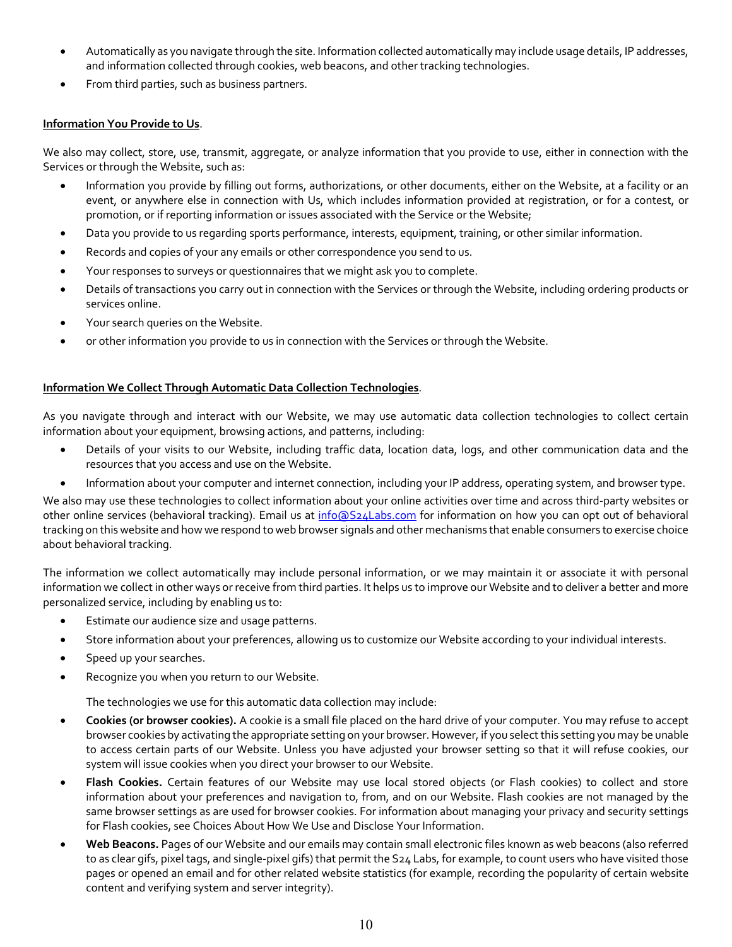- Automatically as you navigate through the site. Information collected automatically may include usage details, IP addresses, and information collected through cookies, web beacons, and other tracking technologies.
- From third parties, such as business partners.

# **Information You Provide to Us**.

We also may collect, store, use, transmit, aggregate, or analyze information that you provide to use, either in connection with the Services or through the Website, such as:

- Information you provide by filling out forms, authorizations, or other documents, either on the Website, at a facility or an event, or anywhere else in connection with Us, which includes information provided at registration, or for a contest, or promotion, or if reporting information or issues associated with the Service or the Website;
- Data you provide to us regarding sports performance, interests, equipment, training, or other similar information.
- Records and copies of your any emails or other correspondence you send to us.
- Your responses to surveys or questionnaires that we might ask you to complete.
- Details of transactions you carry out in connection with the Services or through the Website, including ordering products or services online.
- Your search queries on the Website.
- or other information you provide to us in connection with the Services or through the Website.

# **Information We Collect Through Automatic Data Collection Technologies**.

As you navigate through and interact with our Website, we may use automatic data collection technologies to collect certain information about your equipment, browsing actions, and patterns, including:

- Details of your visits to our Website, including traffic data, location data, logs, and other communication data and the resources that you access and use on the Website.
- Information about your computer and internet connection, including your IP address, operating system, and browser type.

We also may use these technologies to collect information about your online activities over time and across third-party websites or other online services (behavioral tracking). Email us at info@S24Labs.com for information on how you can opt out of behavioral tracking on this website and how we respond to web browser signals and other mechanisms that enable consumers to exercise choice about behavioral tracking.

The information we collect automatically may include personal information, or we may maintain it or associate it with personal information we collect in other ways or receive from third parties. It helps us to improve our Website and to deliver a better and more personalized service, including by enabling us to:

- Estimate our audience size and usage patterns.
- Store information about your preferences, allowing us to customize our Website according to your individual interests.
- Speed up your searches.
- Recognize you when you return to our Website.

The technologies we use for this automatic data collection may include:

- **Cookies (or browser cookies).** A cookie is a small file placed on the hard drive of your computer. You may refuse to accept browser cookies by activating the appropriate setting on your browser. However, if you select this setting you may be unable to access certain parts of our Website. Unless you have adjusted your browser setting so that it will refuse cookies, our system will issue cookies when you direct your browser to our Website.
- **Flash Cookies.** Certain features of our Website may use local stored objects (or Flash cookies) to collect and store information about your preferences and navigation to, from, and on our Website. Flash cookies are not managed by the same browser settings as are used for browser cookies. For information about managing your privacy and security settings for Flash cookies, see Choices About How We Use and Disclose Your Information.
- **Web Beacons.** Pages of our Website and our emails may contain small electronic files known as web beacons (also referred to as clear gifs, pixel tags, and single-pixel gifs) that permit the S24 Labs, for example, to count users who have visited those pages or opened an email and for other related website statistics (for example, recording the popularity of certain website content and verifying system and server integrity).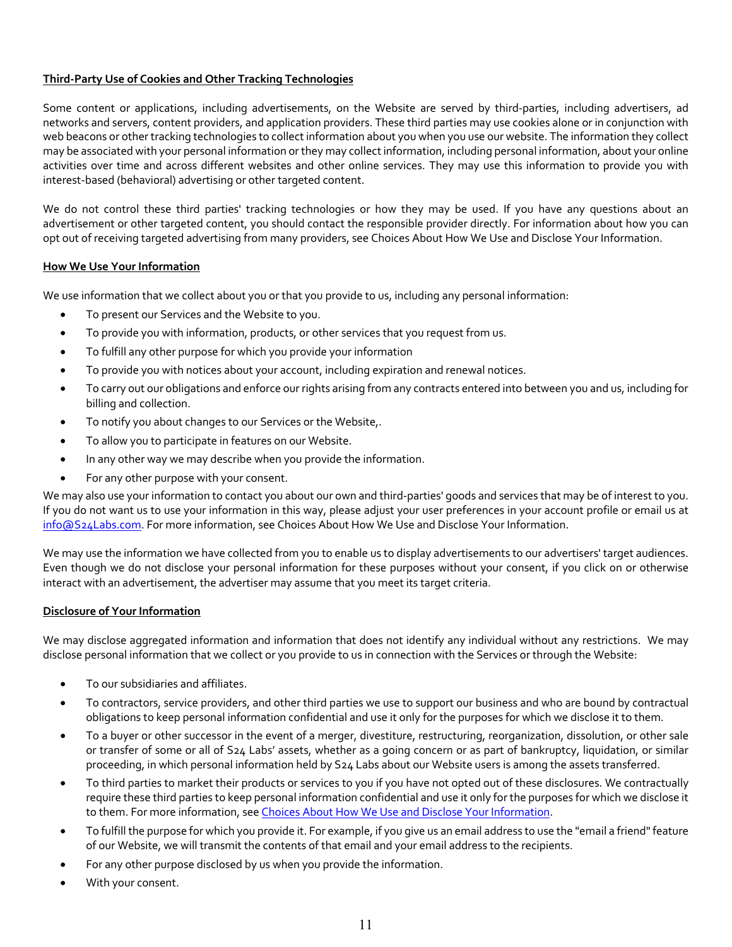# **Third-Party Use of Cookies and Other Tracking Technologies**

Some content or applications, including advertisements, on the Website are served by third-parties, including advertisers, ad networks and servers, content providers, and application providers. These third parties may use cookies alone or in conjunction with web beacons or other tracking technologies to collect information about you when you use our website. The information they collect may be associated with your personal information or they may collect information, including personal information, about your online activities over time and across different websites and other online services. They may use this information to provide you with interest-based (behavioral) advertising or other targeted content.

We do not control these third parties' tracking technologies or how they may be used. If you have any questions about an advertisement or other targeted content, you should contact the responsible provider directly. For information about how you can opt out of receiving targeted advertising from many providers, see Choices About How We Use and Disclose Your Information.

#### **How We Use Your Information**

We use information that we collect about you or that you provide to us, including any personal information:

- To present our Services and the Website to you.
- To provide you with information, products, or other services that you request from us.
- To fulfill any other purpose for which you provide your information
- To provide you with notices about your account, including expiration and renewal notices.
- To carry out our obligations and enforce our rights arising from any contracts entered into between you and us, including for billing and collection.
- To notify you about changes to our Services or the Website,.
- To allow you to participate in features on our Website.
- In any other way we may describe when you provide the information.
- For any other purpose with your consent.

We may also use your information to contact you about our own and third-parties' goods and services that may be of interest to you. If you do not want us to use your information in this way, please adjust your user preferences in your account profile or email us at info@S24Labs.com. For more information, see Choices About How We Use and Disclose Your Information.

We may use the information we have collected from you to enable us to display advertisements to our advertisers' target audiences. Even though we do not disclose your personal information for these purposes without your consent, if you click on or otherwise interact with an advertisement, the advertiser may assume that you meet its target criteria.

#### **Disclosure of Your Information**

We may disclose aggregated information and information that does not identify any individual without any restrictions. We may disclose personal information that we collect or you provide to us in connection with the Services or through the Website:

- To our subsidiaries and affiliates.
- To contractors, service providers, and other third parties we use to support our business and who are bound by contractual obligations to keep personal information confidential and use it only for the purposes for which we disclose it to them.
- To a buyer or other successor in the event of a merger, divestiture, restructuring, reorganization, dissolution, or other sale or transfer of some or all of S24 Labs' assets, whether as a going concern or as part of bankruptcy, liquidation, or similar proceeding, in which personal information held by S24 Labs about our Website users is among the assets transferred.
- To third parties to market their products or services to you if you have not opted out of these disclosures. We contractually require these third parties to keep personal information confidential and use it only for the purposes for which we disclose it to them. For more information, see Choices About How We Use and Disclose Your Information.
- To fulfill the purpose for which you provide it. For example, if you give us an email address to use the "email a friend" feature of our Website, we will transmit the contents of that email and your email address to the recipients.
- For any other purpose disclosed by us when you provide the information.
- With your consent.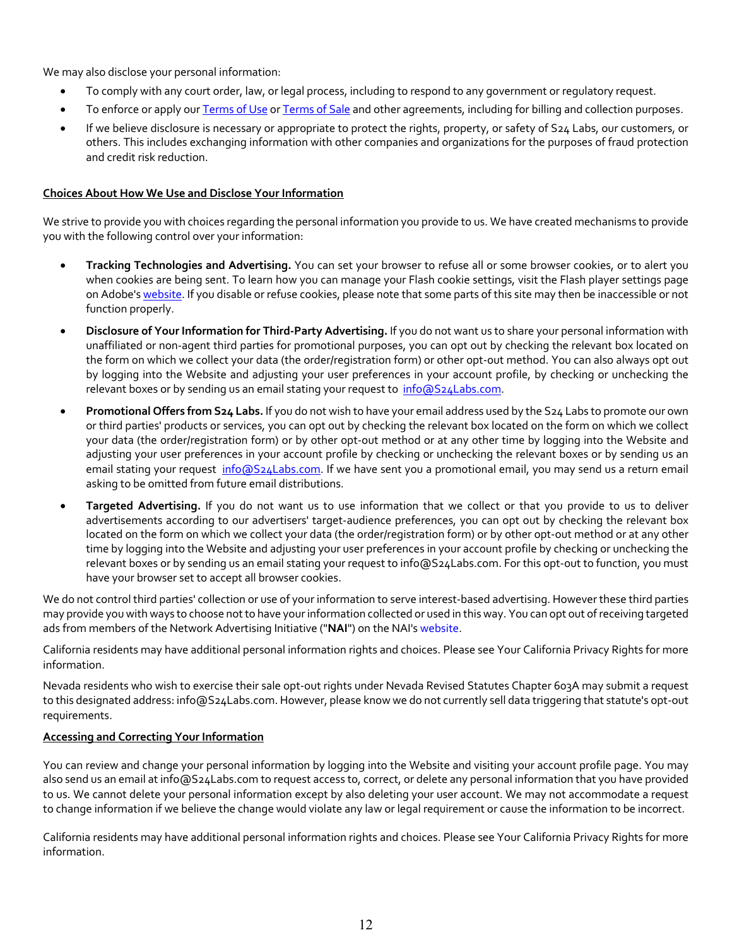We may also disclose your personal information:

- To comply with any court order, law, or legal process, including to respond to any government or regulatory request.
- To enforce or apply our Terms of Use or Terms of Sale and other agreements, including for billing and collection purposes.
- If we believe disclosure is necessary or appropriate to protect the rights, property, or safety of S24 Labs, our customers, or others. This includes exchanging information with other companies and organizations for the purposes of fraud protection and credit risk reduction.

#### **Choices About How We Use and Disclose Your Information**

We strive to provide you with choices regarding the personal information you provide to us. We have created mechanisms to provide you with the following control over your information:

- **Tracking Technologies and Advertising.** You can set your browser to refuse all or some browser cookies, or to alert you when cookies are being sent. To learn how you can manage your Flash cookie settings, visit the Flash player settings page on Adobe's website. If you disable or refuse cookies, please note that some parts of this site may then be inaccessible or not function properly.
- **Disclosure of Your Information for Third-Party Advertising.** If you do not want us to share your personal information with unaffiliated or non-agent third parties for promotional purposes, you can opt out by checking the relevant box located on the form on which we collect your data (the order/registration form) or other opt-out method. You can also always opt out by logging into the Website and adjusting your user preferences in your account profile, by checking or unchecking the relevant boxes or by sending us an email stating your request to info@S24Labs.com.
- **Promotional Offers from S24 Labs.** If you do not wish to have your email address used by the S24 Labs to promote our own or third parties' products or services, you can opt out by checking the relevant box located on the form on which we collect your data (the order/registration form) or by other opt-out method or at any other time by logging into the Website and adjusting your user preferences in your account profile by checking or unchecking the relevant boxes or by sending us an email stating your request info@S24Labs.com. If we have sent you a promotional email, you may send us a return email asking to be omitted from future email distributions.
- **Targeted Advertising.** If you do not want us to use information that we collect or that you provide to us to deliver advertisements according to our advertisers' target-audience preferences, you can opt out by checking the relevant box located on the form on which we collect your data (the order/registration form) or by other opt-out method or at any other time by logging into the Website and adjusting your user preferences in your account profile by checking or unchecking the relevant boxes or by sending us an email stating your request to info@S24Labs.com. For this opt-out to function, you must have your browser set to accept all browser cookies.

We do not control third parties' collection or use of your information to serve interest-based advertising. However these third parties may provide you with ways to choose not to have your information collected or used in this way. You can opt out of receiving targeted ads from members of the Network Advertising Initiative ("**NAI**") on the NAI's website.

California residents may have additional personal information rights and choices. Please see Your California Privacy Rights for more information.

Nevada residents who wish to exercise their sale opt-out rights under Nevada Revised Statutes Chapter 603A may submit a request to this designated address: info@S24Labs.com. However, please know we do not currently sell data triggering that statute's opt-out requirements.

# **Accessing and Correcting Your Information**

You can review and change your personal information by logging into the Website and visiting your account profile page. You may also send us an email at info@S24Labs.com to request access to, correct, or delete any personal information that you have provided to us. We cannot delete your personal information except by also deleting your user account. We may not accommodate a request to change information if we believe the change would violate any law or legal requirement or cause the information to be incorrect.

California residents may have additional personal information rights and choices. Please see Your California Privacy Rights for more information.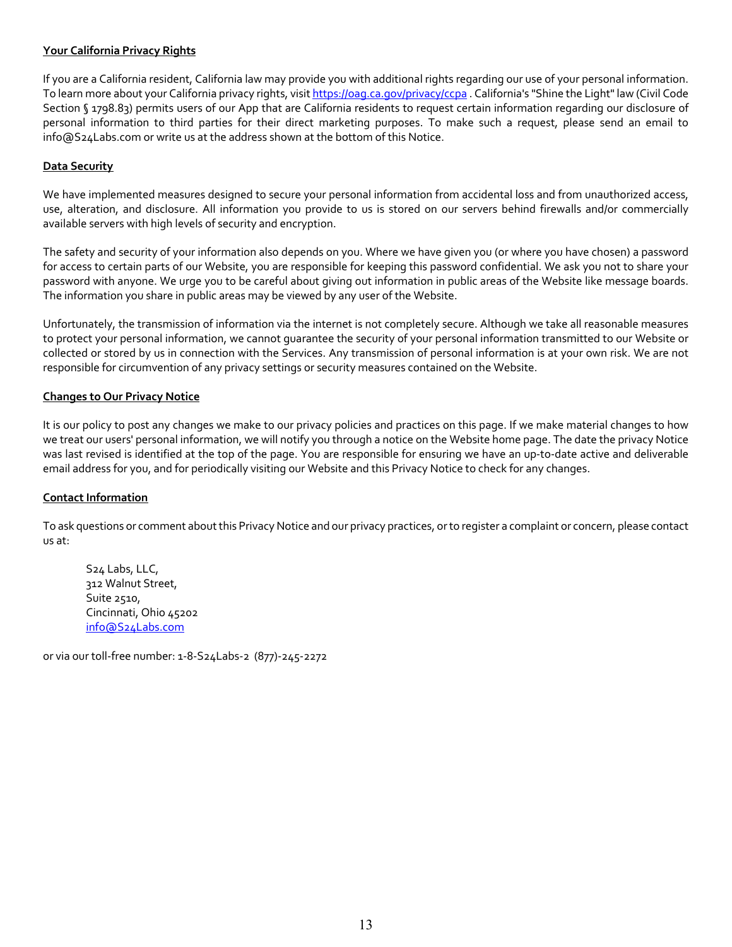#### **Your California Privacy Rights**

If you are a California resident, California law may provide you with additional rights regarding our use of your personal information. To learn more about your California privacy rights, visit https://oag.ca.gov/privacy/ccpa . California's "Shine the Light" law (Civil Code Section § 1798.83) permits users of our App that are California residents to request certain information regarding our disclosure of personal information to third parties for their direct marketing purposes. To make such a request, please send an email to info@S24Labs.com or write us at the address shown at the bottom of this Notice.

#### **Data Security**

We have implemented measures designed to secure your personal information from accidental loss and from unauthorized access, use, alteration, and disclosure. All information you provide to us is stored on our servers behind firewalls and/or commercially available servers with high levels of security and encryption.

The safety and security of your information also depends on you. Where we have given you (or where you have chosen) a password for access to certain parts of our Website, you are responsible for keeping this password confidential. We ask you not to share your password with anyone. We urge you to be careful about giving out information in public areas of the Website like message boards. The information you share in public areas may be viewed by any user of the Website.

Unfortunately, the transmission of information via the internet is not completely secure. Although we take all reasonable measures to protect your personal information, we cannot guarantee the security of your personal information transmitted to our Website or collected or stored by us in connection with the Services. Any transmission of personal information is at your own risk. We are not responsible for circumvention of any privacy settings or security measures contained on the Website.

#### **Changes to Our Privacy Notice**

It is our policy to post any changes we make to our privacy policies and practices on this page. If we make material changes to how we treat our users' personal information, we will notify you through a notice on the Website home page. The date the privacy Notice was last revised is identified at the top of the page. You are responsible for ensuring we have an up-to-date active and deliverable email address for you, and for periodically visiting our Website and this Privacy Notice to check for any changes.

#### **Contact Information**

To ask questions or comment about this Privacy Notice and our privacy practices, or to register a complaint or concern, please contact us at:

S24 Labs, LLC, 312 Walnut Street, Suite 2510, Cincinnati, Ohio 45202 info@S24Labs.com

or via our toll-free number: 1-8-S24Labs-2 (877)-245-2272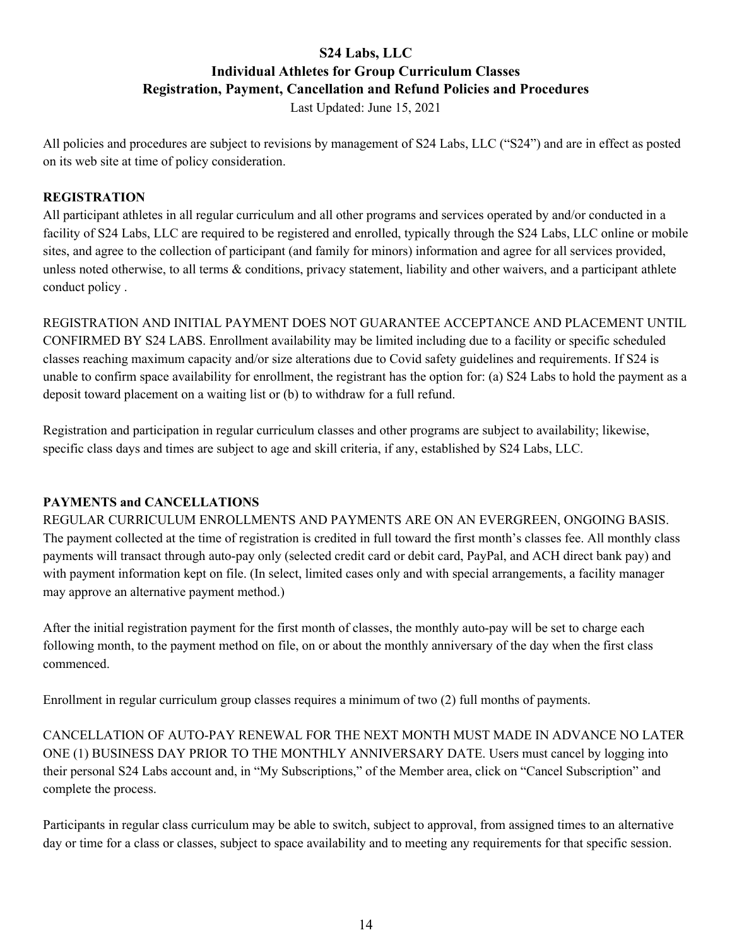# **S24 Labs, LLC Individual Athletes for Group Curriculum Classes Registration, Payment, Cancellation and Refund Policies and Procedures**

Last Updated: June 15, 2021

All policies and procedures are subject to revisions by management of S24 Labs, LLC ("S24") and are in effect as posted on its web site at time of policy consideration.

# **REGISTRATION**

All participant athletes in all regular curriculum and all other programs and services operated by and/or conducted in a facility of S24 Labs, LLC are required to be registered and enrolled, typically through the S24 Labs, LLC online or mobile sites, and agree to the collection of participant (and family for minors) information and agree for all services provided, unless noted otherwise, to all terms & conditions, privacy statement, liability and other waivers, and a participant athlete conduct policy .

REGISTRATION AND INITIAL PAYMENT DOES NOT GUARANTEE ACCEPTANCE AND PLACEMENT UNTIL CONFIRMED BY S24 LABS. Enrollment availability may be limited including due to a facility or specific scheduled classes reaching maximum capacity and/or size alterations due to Covid safety guidelines and requirements. If S24 is unable to confirm space availability for enrollment, the registrant has the option for: (a) S24 Labs to hold the payment as a deposit toward placement on a waiting list or (b) to withdraw for a full refund.

Registration and participation in regular curriculum classes and other programs are subject to availability; likewise, specific class days and times are subject to age and skill criteria, if any, established by S24 Labs, LLC.

# **PAYMENTS and CANCELLATIONS**

REGULAR CURRICULUM ENROLLMENTS AND PAYMENTS ARE ON AN EVERGREEN, ONGOING BASIS. The payment collected at the time of registration is credited in full toward the first month's classes fee. All monthly class payments will transact through auto-pay only (selected credit card or debit card, PayPal, and ACH direct bank pay) and with payment information kept on file. (In select, limited cases only and with special arrangements, a facility manager may approve an alternative payment method.)

After the initial registration payment for the first month of classes, the monthly auto-pay will be set to charge each following month, to the payment method on file, on or about the monthly anniversary of the day when the first class commenced.

Enrollment in regular curriculum group classes requires a minimum of two (2) full months of payments.

CANCELLATION OF AUTO-PAY RENEWAL FOR THE NEXT MONTH MUST MADE IN ADVANCE NO LATER ONE (1) BUSINESS DAY PRIOR TO THE MONTHLY ANNIVERSARY DATE. Users must cancel by logging into their personal S24 Labs account and, in "My Subscriptions," of the Member area, click on "Cancel Subscription" and complete the process.

Participants in regular class curriculum may be able to switch, subject to approval, from assigned times to an alternative day or time for a class or classes, subject to space availability and to meeting any requirements for that specific session.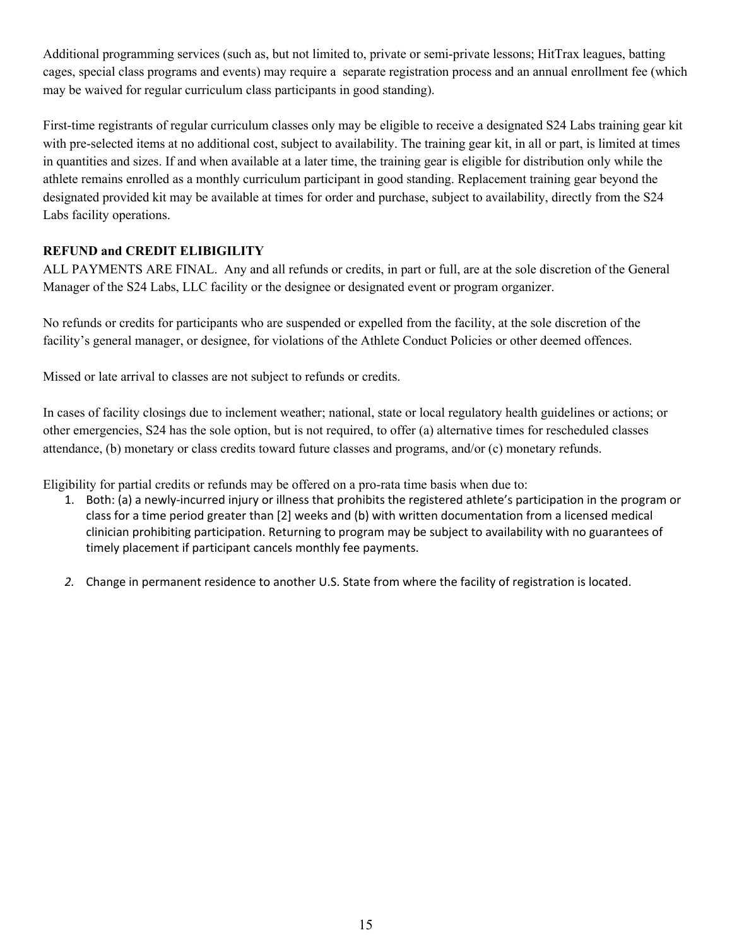Additional programming services (such as, but not limited to, private or semi-private lessons; HitTrax leagues, batting cages, special class programs and events) may require a separate registration process and an annual enrollment fee (which may be waived for regular curriculum class participants in good standing).

First-time registrants of regular curriculum classes only may be eligible to receive a designated S24 Labs training gear kit with pre-selected items at no additional cost, subject to availability. The training gear kit, in all or part, is limited at times in quantities and sizes. If and when available at a later time, the training gear is eligible for distribution only while the athlete remains enrolled as a monthly curriculum participant in good standing. Replacement training gear beyond the designated provided kit may be available at times for order and purchase, subject to availability, directly from the S24 Labs facility operations.

# **REFUND and CREDIT ELIBIGILITY**

ALL PAYMENTS ARE FINAL. Any and all refunds or credits, in part or full, are at the sole discretion of the General Manager of the S24 Labs, LLC facility or the designee or designated event or program organizer.

No refunds or credits for participants who are suspended or expelled from the facility, at the sole discretion of the facility's general manager, or designee, for violations of the Athlete Conduct Policies or other deemed offences.

Missed or late arrival to classes are not subject to refunds or credits.

In cases of facility closings due to inclement weather; national, state or local regulatory health guidelines or actions; or other emergencies, S24 has the sole option, but is not required, to offer (a) alternative times for rescheduled classes attendance, (b) monetary or class credits toward future classes and programs, and/or (c) monetary refunds.

Eligibility for partial credits or refunds may be offered on a pro-rata time basis when due to:

- 1. Both: (a) a newly-incurred injury or illness that prohibits the registered athlete's participation in the program or class for a time period greater than [2] weeks and (b) with written documentation from a licensed medical clinician prohibiting participation. Returning to program may be subject to availability with no guarantees of timely placement if participant cancels monthly fee payments.
- *2.* Change in permanent residence to another U.S. State from where the facility of registration is located.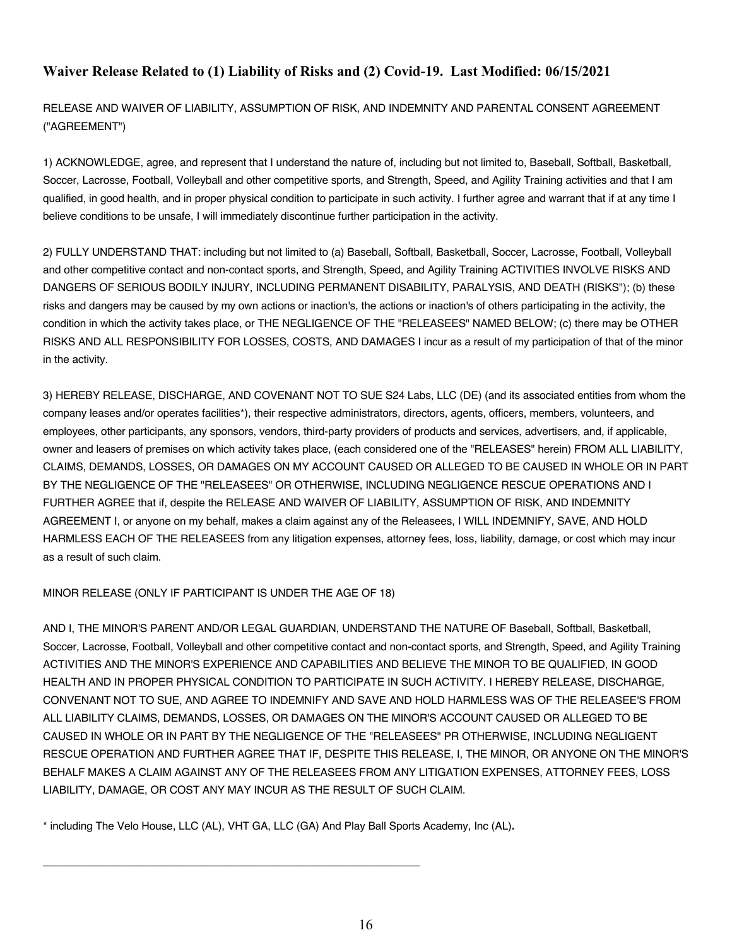# **Waiver Release Related to (1) Liability of Risks and (2) Covid-19. Last Modified: 06/15/2021**

RELEASE AND WAIVER OF LIABILITY, ASSUMPTION OF RISK, AND INDEMNITY AND PARENTAL CONSENT AGREEMENT ("AGREEMENT")

1) ACKNOWLEDGE, agree, and represent that I understand the nature of, including but not limited to, Baseball, Softball, Basketball, Soccer, Lacrosse, Football, Volleyball and other competitive sports, and Strength, Speed, and Agility Training activities and that I am qualified, in good health, and in proper physical condition to participate in such activity. I further agree and warrant that if at any time I believe conditions to be unsafe, I will immediately discontinue further participation in the activity.

2) FULLY UNDERSTAND THAT: including but not limited to (a) Baseball, Softball, Basketball, Soccer, Lacrosse, Football, Volleyball and other competitive contact and non-contact sports, and Strength, Speed, and Agility Training ACTIVITIES INVOLVE RISKS AND DANGERS OF SERIOUS BODILY INJURY, INCLUDING PERMANENT DISABILITY, PARALYSIS, AND DEATH (RISKS"); (b) these risks and dangers may be caused by my own actions or inaction's, the actions or inaction's of others participating in the activity, the condition in which the activity takes place, or THE NEGLIGENCE OF THE "RELEASEES" NAMED BELOW; (c) there may be OTHER RISKS AND ALL RESPONSIBILITY FOR LOSSES, COSTS, AND DAMAGES I incur as a result of my participation of that of the minor in the activity.

3) HEREBY RELEASE, DISCHARGE, AND COVENANT NOT TO SUE S24 Labs, LLC (DE) (and its associated entities from whom the company leases and/or operates facilities\*), their respective administrators, directors, agents, officers, members, volunteers, and employees, other participants, any sponsors, vendors, third-party providers of products and services, advertisers, and, if applicable, owner and leasers of premises on which activity takes place, (each considered one of the "RELEASES" herein) FROM ALL LIABILITY, CLAIMS, DEMANDS, LOSSES, OR DAMAGES ON MY ACCOUNT CAUSED OR ALLEGED TO BE CAUSED IN WHOLE OR IN PART BY THE NEGLIGENCE OF THE "RELEASEES" OR OTHERWISE, INCLUDING NEGLIGENCE RESCUE OPERATIONS AND I FURTHER AGREE that if, despite the RELEASE AND WAIVER OF LIABILITY, ASSUMPTION OF RISK, AND INDEMNITY AGREEMENT I, or anyone on my behalf, makes a claim against any of the Releasees, I WILL INDEMNIFY, SAVE, AND HOLD HARMLESS EACH OF THE RELEASEES from any litigation expenses, attorney fees, loss, liability, damage, or cost which may incur as a result of such claim.

MINOR RELEASE (ONLY IF PARTICIPANT IS UNDER THE AGE OF 18)

AND I, THE MINOR'S PARENT AND/OR LEGAL GUARDIAN, UNDERSTAND THE NATURE OF Baseball, Softball, Basketball, Soccer, Lacrosse, Football, Volleyball and other competitive contact and non-contact sports, and Strength, Speed, and Agility Training ACTIVITIES AND THE MINOR'S EXPERIENCE AND CAPABILITIES AND BELIEVE THE MINOR TO BE QUALIFIED, IN GOOD HEALTH AND IN PROPER PHYSICAL CONDITION TO PARTICIPATE IN SUCH ACTIVITY. I HEREBY RELEASE, DISCHARGE, CONVENANT NOT TO SUE, AND AGREE TO INDEMNIFY AND SAVE AND HOLD HARMLESS WAS OF THE RELEASEE'S FROM ALL LIABILITY CLAIMS, DEMANDS, LOSSES, OR DAMAGES ON THE MINOR'S ACCOUNT CAUSED OR ALLEGED TO BE CAUSED IN WHOLE OR IN PART BY THE NEGLIGENCE OF THE "RELEASEES" PR OTHERWISE, INCLUDING NEGLIGENT RESCUE OPERATION AND FURTHER AGREE THAT IF, DESPITE THIS RELEASE, I, THE MINOR, OR ANYONE ON THE MINOR'S BEHALF MAKES A CLAIM AGAINST ANY OF THE RELEASEES FROM ANY LITIGATION EXPENSES, ATTORNEY FEES, LOSS LIABILITY, DAMAGE, OR COST ANY MAY INCUR AS THE RESULT OF SUCH CLAIM.

\* including The Velo House, LLC (AL), VHT GA, LLC (GA) And Play Ball Sports Academy, Inc (AL)**.**

\_\_\_\_\_\_\_\_\_\_\_\_\_\_\_\_\_\_\_\_\_\_\_\_\_\_\_\_\_\_\_\_\_\_\_\_\_\_\_\_\_\_\_\_\_\_\_\_\_\_\_\_\_\_\_\_\_\_\_\_\_\_\_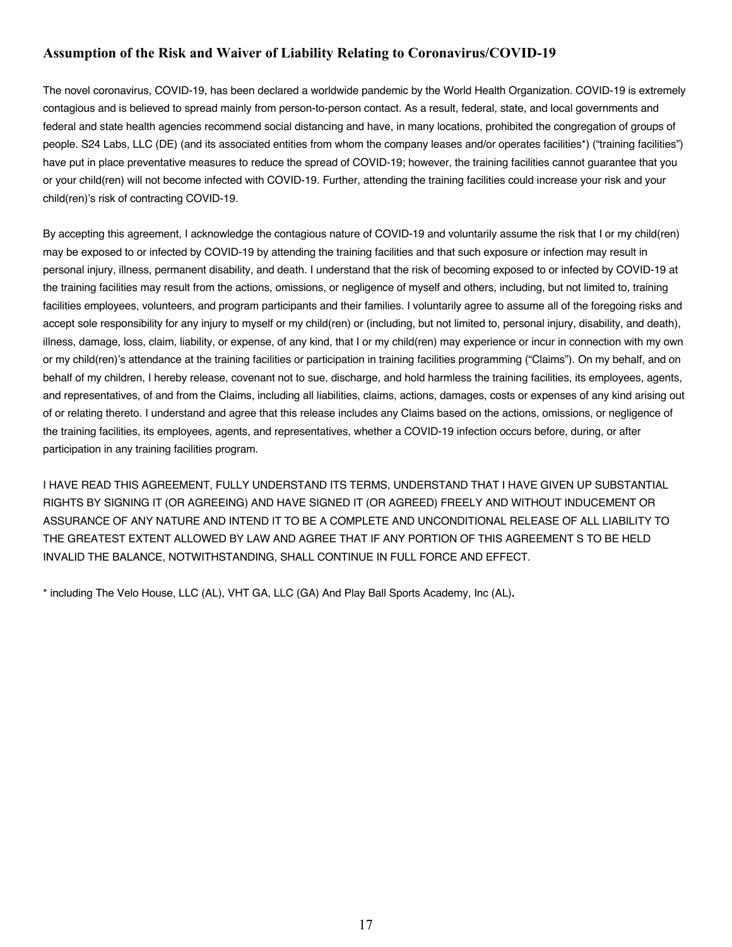# **Assumption of the Risk and Waiver of Liability Relating to Coronavirus/COVID-19**

The novel coronavirus, COVID-19, has been declared a worldwide pandemic by the World Health Organization. COVID-19 is extremely contagious and is believed to spread mainly from person-to-person contact. As a result, federal, state, and local governments and federal and state health agencies recommend social distancing and have, in many locations, prohibited the congregation of groups of people. S24 Labs, LLC (DE) (and its associated entities from whom the company leases and/or operates facilities\*) ("training facilities") have put in place preventative measures to reduce the spread of COVID-19; however, the training facilities cannot guarantee that you or your child(ren) will not become infected with COVID-19. Further, attending the training facilities could increase your risk and your child(ren)'s risk of contracting COVID-19.

By accepting this agreement, I acknowledge the contagious nature of COVID-19 and voluntarily assume the risk that I or my child(ren) may be exposed to or infected by COVID-19 by attending the training facilities and that such exposure or infection may result in personal injury, illness, permanent disability, and death. I understand that the risk of becoming exposed to or infected by COVID-19 at the training facilities may result from the actions, omissions, or negligence of myself and others, including, but not limited to, training facilities employees, volunteers, and program participants and their families. I voluntarily agree to assume all of the foregoing risks and accept sole responsibility for any injury to myself or my child(ren) or (including, but not limited to, personal injury, disability, and death), illness, damage, loss, claim, liability, or expense, of any kind, that I or my child(ren) may experience or incur in connection with my own or my child(ren)'s attendance at the training facilities or participation in training facilities programming ("Claims"). On my behalf, and on behalf of my children, I hereby release, covenant not to sue, discharge, and hold harmless the training facilities, its employees, agents, and representatives, of and from the Claims, including all liabilities, claims, actions, damages, costs or expenses of any kind arising out of or relating thereto. I understand and agree that this release includes any Claims based on the actions, omissions, or negligence of the training facilities, its employees, agents, and representatives, whether a COVID-19 infection occurs before, during, or after participation in any training facilities program.

I HAVE READ THIS AGREEMENT, FULLY UNDERSTAND ITS TERMS, UNDERSTAND THAT I HAVE GIVEN UP SUBSTANTIAL RIGHTS BY SIGNING IT (OR AGREEING) AND HAVE SIGNED IT (OR AGREED) FREELY AND WITHOUT INDUCEMENT OR ASSURANCE OF ANY NATURE AND INTEND IT TO BE A COMPLETE AND UNCONDITIONAL RELEASE OF ALL LIABILITY TO THE GREATEST EXTENT ALLOWED BY LAW AND AGREE THAT IF ANY PORTION OF THIS AGREEMENT S TO BE HELD INVALID THE BALANCE, NOTWITHSTANDING, SHALL CONTINUE IN FULL FORCE AND EFFECT.

\* including The Velo House, LLC (AL), VHT GA, LLC (GA) And Play Ball Sports Academy, Inc (AL)**.**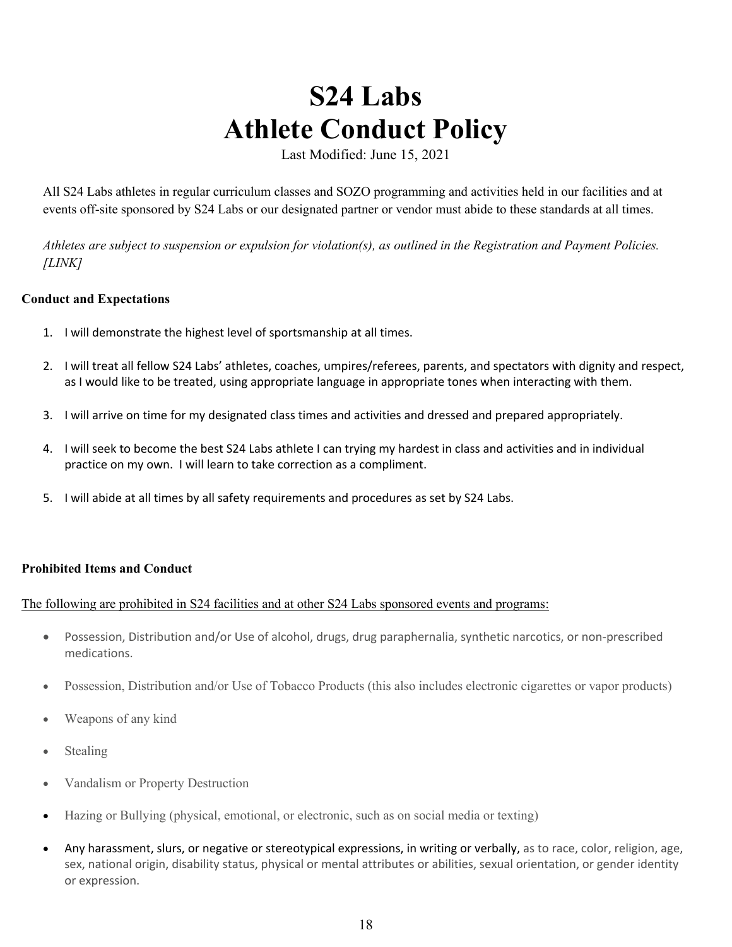# **S24 Labs Athlete Conduct Policy**

Last Modified: June 15, 2021

All S24 Labs athletes in regular curriculum classes and SOZO programming and activities held in our facilities and at events off-site sponsored by S24 Labs or our designated partner or vendor must abide to these standards at all times.

*Athletes are subject to suspension or expulsion for violation(s), as outlined in the Registration and Payment Policies. [LINK]*

# **Conduct and Expectations**

- 1. I will demonstrate the highest level of sportsmanship at all times.
- 2. I will treat all fellow S24 Labs' athletes, coaches, umpires/referees, parents, and spectators with dignity and respect, as I would like to be treated, using appropriate language in appropriate tones when interacting with them.
- 3. I will arrive on time for my designated class times and activities and dressed and prepared appropriately.
- 4. I will seek to become the best S24 Labs athlete I can trying my hardest in class and activities and in individual practice on my own. I will learn to take correction as a compliment.
- 5. I will abide at all times by all safety requirements and procedures as set by S24 Labs.

# **Prohibited Items and Conduct**

# The following are prohibited in S24 facilities and at other S24 Labs sponsored events and programs:

- Possession, Distribution and/or Use of alcohol, drugs, drug paraphernalia, synthetic narcotics, or non-prescribed medications.
- Possession, Distribution and/or Use of Tobacco Products (this also includes electronic cigarettes or vapor products)
- Weapons of any kind
- **Stealing**
- Vandalism or Property Destruction
- Hazing or Bullying (physical, emotional, or electronic, such as on social media or texting)
- Any harassment, slurs, or negative or stereotypical expressions, in writing or verbally, as to race, color, religion, age, sex, national origin, disability status, physical or mental attributes or abilities, sexual orientation, or gender identity or expression.